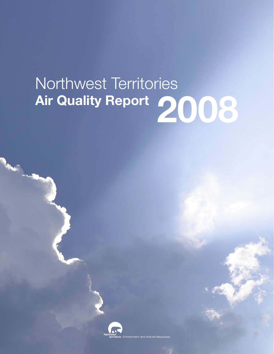# Northwest Territories **Air Quality Report 2008**



r<mark>ies</mark> Environment and Natural Resources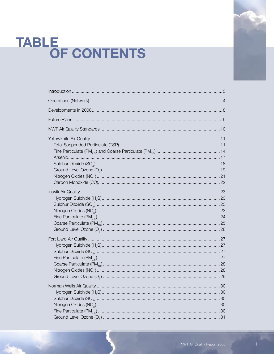# TABLE<br>OF CONTENTS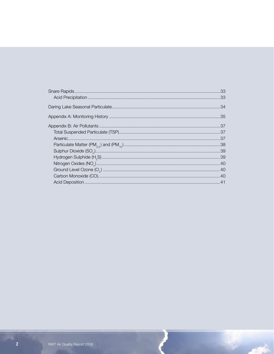أبوير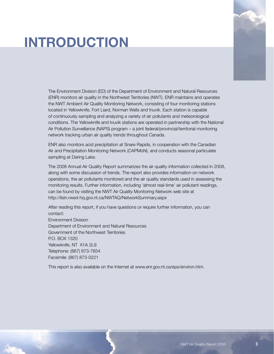# **INTRODUCTION**



The Environment Division (ED) of the Department of Environment and Natural Resources (ENR) monitors air quality in the Northwest Territories (NWT). ENR maintains and operates the NWT Ambient Air Quality Monitoring Network, consisting of four monitoring stations located in Yellowknife, Fort Liard, Norman Wells and Inuvik. Each station is capable of continuously sampling and analyzing a variety of air pollutants and meteorological conditions. The Yellowknife and Inuvik stations are operated in partnership with the National Air Pollution Surveillance (NAPS) program – a joint federal/provincial/territorial monitoring network tracking urban air quality trends throughout Canada.

ENR also monitors acid precipitation at Snare Rapids, in cooperation with the Canadian Air and Precipitation Monitoring Network (CAPMoN), and conducts seasonal particulate sampling at Daring Lake.

The 2008 Annual Air Quality Report summarizes the air quality information collected in 2008, along with some discussion of trends. The report also provides information on network operations, the air pollutants monitored and the air quality standards used in assessing the monitoring results. Further information, including 'almost real-time' air pollutant readings, can be found by visiting the NWT Air Quality Monitoring Network web site at http://lisin.rwed-hq.gov.nt.ca/NWTAQ/NetworkSummary.aspx

After reading this report, if you have questions or require further information, you can contact: Environment Division Department of Environment and Natural Resources Government of the Northwest Territories P.O. BOX 1320 Yellowknife, NT X1A 2L9 Telephone: (867) 873-7654 Facsimile: (867) 873-0221

This report is also available on the Internet at www.enr.gov.nt.ca/eps/environ.htm.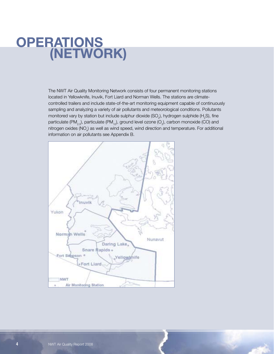# **OPERATIO (NETWORK)**

The NWT Air Quality Monitoring Network consists of four permanent monitoring stations located in Yellowknife, Inuvik, Fort Liard and Norman Wells. The stations are climatecontrolled trailers and include state-of-the-art monitoring equipment capable of continuously sampling and analyzing a variety of air pollutants and meteorological conditions. Pollutants monitored vary by station but include sulphur dioxide (SO<sub>2</sub>), hydrogen sulphide (H<sub>2</sub>S), fine particulate (PM<sub>2.5</sub>), particulate (PM<sub>10</sub>), ground level ozone (O<sub>3</sub>), carbon monoxide (CO) and nitrogen oxides (NO<sub>x</sub>) as well as wind speed, wind direction and temperature. For additional information on air pollutants see Appendix B.

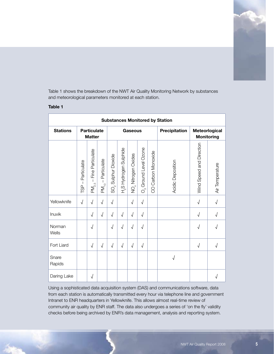

Table 1 shows the breakdown of the NWT Air Quality Monitoring Network by substances and meteorological parameters monitored at each station.

#### **Table 1**

| <b>Substances Monitored by Station</b> |                             |                                                     |                                          |                                  |                                            |                     |                                   |                    |                   |                          |                                    |
|----------------------------------------|-----------------------------|-----------------------------------------------------|------------------------------------------|----------------------------------|--------------------------------------------|---------------------|-----------------------------------|--------------------|-------------------|--------------------------|------------------------------------|
| <b>Stations</b>                        |                             | <b>Particulate</b><br><b>Matter</b>                 |                                          | <b>Gaseous</b>                   |                                            |                     |                                   |                    | Precipitation     |                          | Meteorlogical<br><b>Monitoring</b> |
|                                        | - Particulate<br><b>TSP</b> | Particulate<br>Fine<br>$\mathbf{I}$<br>$PM_{2.5}$ – | Particulate<br>$\mathbf{I}$<br>$PM_{10}$ | Sulphur Dioxide<br>$SO_{\alpha}$ | Hydrogen Sulphide<br>$T_{\infty}^{\infty}$ | NO, Nitrogen Oxides | O <sub>3</sub> Ground Level Ozone | CO Carbon Monoxide | Acidic Deposition | Wind Speed and Direction | Air Temperature                    |
| Yellowknife                            | $\sqrt{2}$                  | $\sqrt{ }$                                          | $\sqrt{2}$                               | $\sqrt{2}$                       |                                            | $\sqrt{2}$          | $\sqrt{}$                         |                    |                   | $\sqrt{2}$               |                                    |
| Inuvik                                 |                             | $\sqrt{ }$                                          | $\sqrt{ }$                               | $\sqrt{2}$                       | $\sqrt{2}$                                 | $\sqrt{}$           | $\sqrt{}$                         |                    |                   | $\sqrt{2}$               |                                    |
| Norman<br>Wells                        |                             | $\sqrt{}$                                           |                                          | $\sqrt{}$                        | $\sqrt{2}$                                 | $\sqrt{}$           | $\sqrt{}$                         |                    |                   | $\sqrt{}$                |                                    |
| Fort Liard                             |                             | $\sqrt{ }$                                          | $\sqrt{2}$                               | $\sqrt{2}$                       | $\sqrt{ }$                                 | $\sqrt{ }$          | $\sqrt{ }$                        |                    |                   | $\sqrt{2}$               | $\sqrt{ }$                         |
| Snare<br>Rapids                        |                             |                                                     |                                          |                                  |                                            |                     |                                   |                    | $\sqrt{ }$        |                          |                                    |
| Daring Lake                            |                             | $\sqrt{2}$                                          |                                          |                                  |                                            |                     |                                   |                    |                   |                          | $\sqrt{ }$                         |

Using a sophisticated data acquisition system (DAS) and communications software, data from each station is automatically transmitted every hour via telephone line and government Intranet to ENR headquarters in Yellowknife. This allows almost real-time review of community air quality by ENR staff. The data also undergoes a series of 'on the fly' validity checks before being archived by ENR's data management, analysis and reporting system.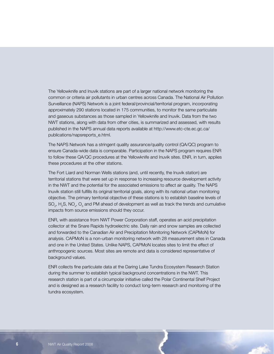The Yellowknife and Inuvik stations are part of a larger national network monitoring the common or criteria air pollutants in urban centres across Canada. The National Air Pollution Surveillance (NAPS) Network is a joint federal/provincial/territorial program, incorporating approximately 290 stations located in 175 communities, to monitor the same particulate and gaseous substances as those sampled in Yellowknife and Inuvik. Data from the two NWT stations, along with data from other cities, is summarized and assessed, with results published in the NAPS annual data reports available at http://www.etc-cte.ec.gc.ca/ publications/napsreports\_e.html.

The NAPS Network has a stringent quality assurance/quality control (QA/QC) program to ensure Canada-wide data is comparable. Participation in the NAPS program requires ENR to follow these QA/QC procedures at the Yellowknife and Inuvik sites. ENR, in turn, applies these procedures at the other stations.

The Fort Liard and Norman Wells stations (and, until recently, the Inuvik station) are territorial stations that were set up in response to increasing resource development activity in the NWT and the potential for the associated emissions to affect air quality. The NAPS Inuvik station still fulfills its original territorial goals, along with its national urban monitoring objective. The primary territorial objective of these stations is to establish baseline levels of SO<sub>2</sub>, H<sub>2</sub>S, NO<sub>x</sub>, O<sub>3</sub> and PM ahead of development as well as track the trends and cumulative impacts from source emissions should they occur.

ENR, with assistance from NWT Power Corporation staff, operates an acid precipitation collector at the Snare Rapids hydroelectric site. Daily rain and snow samples are collected and forwarded to the Canadian Air and Precipitation Monitoring Network (CAPMoN) for analysis. CAPMoN is a non-urban monitoring network with 28 measurement sites in Canada and one in the United States. Unlike NAPS, CAPMoN locates sites to limit the effect of anthropogenic sources. Most sites are remote and data is considered representative of background values.

ENR collects fine particulate data at the Daring Lake Tundra Ecosystem Research Station during the summer to establish typical background concentrations in the NWT. This research station is part of a circumpolar initiative called the Polar Continental Shelf Project and is designed as a research facility to conduct long-term research and monitoring of the tundra ecosystem.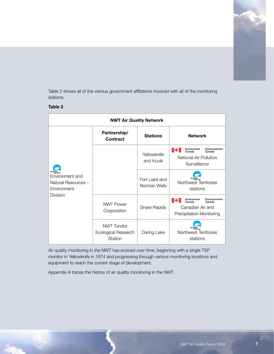

Table 2 shows all of the various government affiliations involved with all of the monitoring stations.

#### **Table 2**

| <b>NWT Air Quality Network</b>                                           |                                              |                                |                                                                                                               |  |  |
|--------------------------------------------------------------------------|----------------------------------------------|--------------------------------|---------------------------------------------------------------------------------------------------------------|--|--|
| Environment and<br>Natural Resources -<br>Environment<br><b>Division</b> | Partnership/<br>Contract                     | <b>Stations</b>                | <b>Network</b>                                                                                                |  |  |
|                                                                          |                                              | Yellowknife<br>and Inuvik      | Environment<br>Environnement<br>Canada<br>Canada<br>National Air Pollution<br>Surveillance                    |  |  |
|                                                                          |                                              | Fort Liard and<br>Norman Wells | Northwest Territories<br>stations                                                                             |  |  |
|                                                                          | <b>NWT Power</b><br>Corporation              | Snare Rapids                   | Environment<br>Environnement<br>∎₩<br>Canada<br>Canada<br>Canadian Air and<br><b>Precipitation Monitoring</b> |  |  |
|                                                                          | NWT Tundra<br>Ecological Research<br>Station | Daring Lake                    | Northwest Territories<br>stations                                                                             |  |  |

Air quality monitoring in the NWT has evolved over time, beginning with a single TSP monitor in Yellowknife in 1974 and progressing through various monitoring locations and equipment to reach the current stage of development.

Appendix A traces the history of air quality monitoring in the NWT.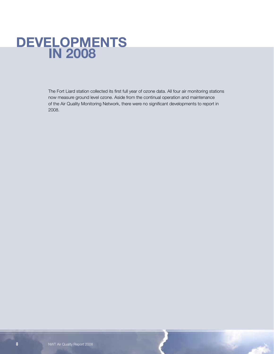# **Developments in 2008**

The Fort Liard station collected its first full year of ozone data. All four air monitoring stations now measure ground level ozone. Aside from the continual operation and maintenance of the Air Quality Monitoring Network, there were no significant developments to report in 2008.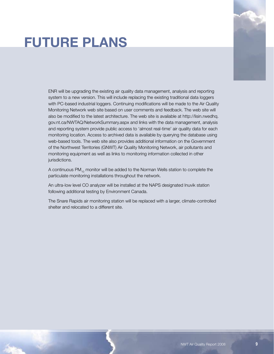# **Future Plans**



ENR will be upgrading the existing air quality data management, analysis and reporting system to a new version. This will include replacing the existing traditional data loggers with PC-based industrial loggers. Continuing modifications will be made to the Air Quality Monitoring Network web site based on user comments and feedback. The web site will also be modified to the latest architecture. The web site is available at http://lisin.rwedhq. gov.nt.ca/NWTAQ/NetworkSummary.aspx and links with the data management, analysis and reporting system provide public access to 'almost real-time' air quality data for each monitoring location. Access to archived data is available by querying the database using web-based tools. The web site also provides additional information on the Government of the Northwest Territories (GNWT) Air Quality Monitoring Network, air pollutants and monitoring equipment as well as links to monitoring information collected in other jurisdictions.

A continuous  $PM_{10}$  monitor will be added to the Norman Wells station to complete the particulate monitoring installations throughout the network.

An ultra-low level CO analyzer will be installed at the NAPS designated Inuvik station following additional testing by Environment Canada.

The Snare Rapids air monitoring station will be replaced with a larger, climate-controlled shelter and relocated to a different site.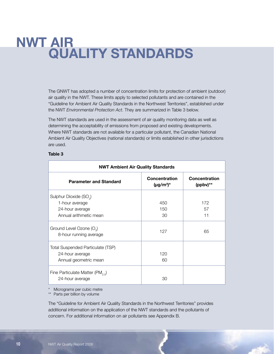# **NWT Air Quality Standards**

The GNWT has adopted a number of concentration limits for protection of ambient (outdoor) air quality in the NWT. These limits apply to selected pollutants and are contained in the "Guideline for Ambient Air Quality Standards in the Northwest Territories", established under the NWT *Environmental Protection Act*. They are summarized in Table 3 below.

The NWT standards are used in the assessment of air quality monitoring data as well as determining the acceptability of emissions from proposed and existing developments. Where NWT standards are not available for a particular pollutant, the Canadian National Ambient Air Quality Objectives (national standards) or limits established in other jurisdictions are used.

#### **Table 3**

| <b>NWT Ambient Air Quality Standards</b>                       |                                         |                              |  |  |
|----------------------------------------------------------------|-----------------------------------------|------------------------------|--|--|
| <b>Parameter and Standard</b>                                  | <b>Concentration</b><br>$(\mu g/m^3)^*$ | Concentration<br>$(ppbv)$ ** |  |  |
| Sulphur Dioxide (SO <sub>2</sub> )                             |                                         |                              |  |  |
| 1-hour average                                                 | 450                                     | 172                          |  |  |
| 24-hour average                                                | 150                                     | 57                           |  |  |
| Annual arithmetic mean                                         | 30                                      | 11                           |  |  |
| Ground Level Ozone (O <sub>2</sub> )<br>8-hour running average | 127                                     | 65                           |  |  |
| Total Suspended Particulate (TSP)                              |                                         |                              |  |  |
| 24-hour average                                                | 120                                     |                              |  |  |
| Annual geometric mean                                          | 60                                      |                              |  |  |
| Fine Particulate Matter (PM <sub>25</sub> )                    |                                         |                              |  |  |
| 24-hour average                                                | 30                                      |                              |  |  |

\* Micrograms per cubic metre

\*\* Parts per billion by volume

The "Guideline for Ambient Air Quality Standards in the Northwest Territories" provides additional information on the application of the NWT standards and the pollutants of concern. For additional information on air pollutants see Appendix B.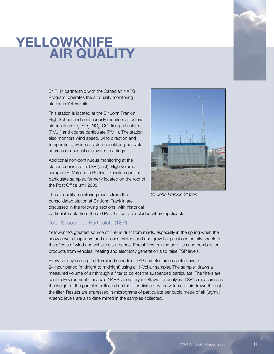# **YELLOWKNIFE AIR QUALITY**

ENR, in partnership with the Canadian NAPS Program, operates the air quality monitoring station in Yellowknife.

This station is located at the Sir John Franklin High School and continuously monitors all criteria air pollutants  $O_3$ , SO<sub>2</sub>, NO<sub>x</sub>, CO, fine particulate  $(PM_{2.5})$  and coarse particulate (PM<sub>10</sub>). The station also monitors wind speed, wind direction and temperature, which assists in identifying possible sources of unusual or elevated readings.

Additional non-continuous monitoring at the station consists of a TSP (dust), High Volume sampler (Hi-Vol) and a Partisol Dichotomous fine particulate sampler, formerly located on the roof of the Post Office until 2005.



*Sir John Franklin Station*

The air quality monitoring results from the consolidated station at Sir John Franklin are discussed in the following sections, with historical

particulate data from the old Post Office site included where applicable.

### Total Suspended Particulate (TSP)

Yellowknife's greatest source of TSP is dust from roads, especially in the spring when the snow cover disappears and exposes winter sand and gravel applications on city streets to the effects of wind and vehicle disturbance. Forest fires, mining activities and combustion products from vehicles, heating and electricity generation also raise TSP levels.

Every six days on a predetermined schedule, TSP samples are collected over a 24-hour period (midnight to midnight) using a Hi-Vol air sampler. The sampler draws a measured volume of air through a filter to collect the suspended particulate. The filters are sent to Environment Canada's NAPS laboratory in Ottawa for analysis. TSP is measured as the weight of the particles collected on the filter divided by the volume of air drawn through the filter. Results are expressed in micrograms of particulate per cubic metre of air  $(\mu g/m^3)$ . Arsenic levels are also determined in the samples collected.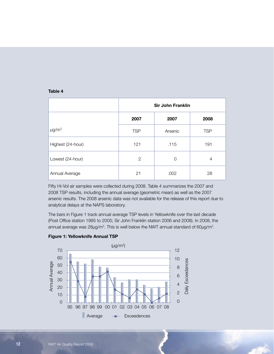#### **Table 4**

|                   | <b>Sir John Franklin</b> |          |            |  |  |
|-------------------|--------------------------|----------|------------|--|--|
|                   | 2007                     | 2007     | 2008       |  |  |
| $\mu$ g/m $3$     | <b>TSP</b>               | Arsenic  | <b>TSP</b> |  |  |
| Highest (24-hour) | 121                      | .115     | 191        |  |  |
| Lowest (24-hour)  | 2                        | $\Omega$ | 4          |  |  |
| Annual Average    | 21                       | .002     | 28         |  |  |

Fifty Hi-Vol air samples were collected during 2008. Table 4 summarizes the 2007 and 2008 TSP results, including the annual average (geometric mean) as well as the 2007 arsenic results. The 2008 arsenic data was not available for the release of this report due to analytical delays at the NAPS laboratory.

The bars in Figure 1 track annual average TSP levels in Yellowknife over the last decade (Post Office station 1995 to 2005; Sir John Franklin station 2006 and 2008). In 2008, the annual average was 28 $\mu$ g/m<sup>3</sup>. This is well below the NWT annual standard of 60 $\mu$ g/m<sup>3</sup>.



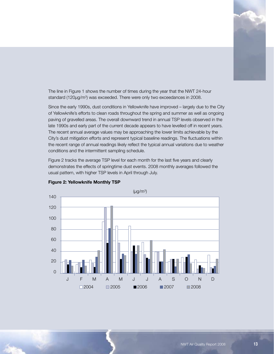

The line in Figure 1 shows the number of times during the year that the NWT 24-hour standard (120μg/m<sup>3</sup>) was exceeded. There were only two exceedances in 2008.

Since the early 1990s, dust conditions in Yellowknife have improved – largely due to the City of Yellowknife's efforts to clean roads throughout the spring and summer as well as ongoing paving of gravelled areas. The overall downward trend in annual TSP levels observed in the late 1990s and early part of the current decade appears to have levelled off in recent years. The recent annual average values may be approaching the lower limits achievable by the City's dust mitigation efforts and represent typical baseline readings. The fluctuations within the recent range of annual readings likely reflect the typical annual variations due to weather conditions and the intermittent sampling schedule.

Figure 2 tracks the average TSP level for each month for the last five years and clearly demonstrates the effects of springtime dust events. 2008 monthly averages followed the usual pattern, with higher TSP levels in April through July.



**Figure 2: Yellowknife Monthly TSP**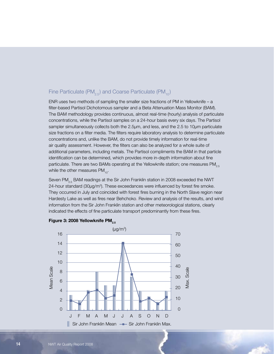# Fine Particulate (PM<sub>2.5</sub>) and Coarse Particulate (PM<sub>10</sub>)

ENR uses two methods of sampling the smaller size fractions of PM in Yellowknife – a filter-based Partisol Dichotomous sampler and a Beta Attenuation Mass Monitor (BAM). The BAM methodology provides continuous, almost real-time (hourly) analysis of particulate concentrations, while the Partisol samples on a 24-hour basis every six days. The Partisol sampler simultaneously collects both the 2.5µm, and less, and the 2.5 to 10µm particulate size fractions on a filter media. The filters require laboratory analysis to determine particulate concentrations and, unlike the BAM, do not provide timely information for real-time air quality assessment. However, the filters can also be analyzed for a whole suite of additional parameters, including metals. The Partisol compliments the BAM in that particle identification can be determined, which provides more in-depth information about fine particulate. There are two BAMs operating at the Yellowknife station; one measures  $PM_{2.5}$ while the other measures  $PM_{10}$ .

Seven PM<sub>25</sub> BAM readings at the Sir John Franklin station in 2008 exceeded the NWT 24-hour standard ( $30\mu g/m<sup>3</sup>$ ). These exceedances were influenced by forest fire smoke. They occurred in July and coincided with forest fires burning in the North Slave region near Hardesty Lake as well as fires near Behchoko. Review and analysis of the results, and wind information from the Sir John Franklin station and other meteorological stations, clearly indicated the effects of fine particulate transport predominantly from these fires.



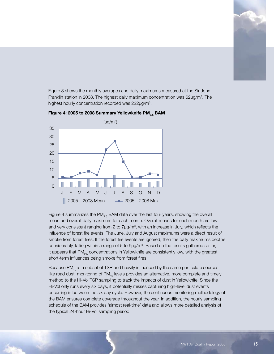

Figure 3 shows the monthly averages and daily maximums measured at the Sir John Franklin station in 2008. The highest daily maximum concentration was 62μg/m<sup>3</sup>. The highest hourly concentration recorded was 222μg/m<sup>3</sup>.



**Figure 4: 2005 to 2008 Summary Yellowknife PM2.5 BAM**

Figure 4 summarizes the  $PM_{2.5}$  BAM data over the last four years, showing the overall mean and overall daily maximum for each month. Overall means for each month are low and very consistent ranging from 2 to 7µg/m<sup>3</sup>, with an increase in July, which reflects the influence of forest fire events. The June, July and August maximums were a direct result of smoke from forest fires. If the forest fire events are ignored, then the daily maximums decline considerably, falling within a range of 5 to  $9\mu g/m<sup>3</sup>$ . Based on the results gathered so far, it appears that  $PM_{2.5}$  concentrations in Yellowknife are consistently low, with the greatest short-term influences being smoke from forest fires.

Because  $PM_{10}$  is a subset of TSP and heavily influenced by the same particulate sources like road dust, monitoring of  $PM_{10}$  levels provides an alternative, more complete and timely method to the Hi-Vol TSP sampling to track the impacts of dust in Yellowknife. Since the Hi-Vol only runs every six days, it potentially misses capturing high-level dust events occurring in between the six day cycle. However, the continuous monitoring methodology of the BAM ensures complete coverage throughout the year. In addition, the hourly sampling schedule of the BAM provides 'almost real-time' data and allows more detailed analysis of the typical 24-hour Hi-Vol sampling period.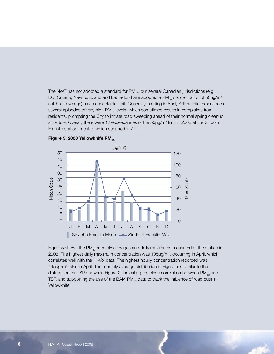The NWT has not adopted a standard for  $PM_{10}$ , but several Canadian jurisdictions (e.g. BC, Ontario, Newfoundland and Labrador) have adopted a PM<sub>10</sub> concentration of 50µg/m<sup>3</sup> (24-hour average) as an acceptable limit. Generally, starting in April, Yellowknife experiences several episodes of very high  $PM_{10}$  levels, which sometimes results in complaints from residents, prompting the City to initiate road sweeping ahead of their normal spring cleanup schedule. Overall, there were 12 exceedances of the 50µg/m<sup>3</sup> limit in 2008 at the Sir John Franklin station, most of which occurred in April.





Figure 5 shows the PM $_{10}$  monthly averages and daily maximums measured at the station in 2008. The highest daily maximum concentration was 105μg/m<sup>3</sup>, occurring in April, which correlates well with the Hi-Vol data. The highest hourly concentration recorded was 445μg/m<sup>3</sup> , also in April. The monthly average distribution in Figure 5 is similar to the distribution for TSP shown in Figure 2, indicating the close correlation between  $PM_{10}$  and TSP, and supporting the use of the BAM PM $_{10}$  data to track the influence of road dust in Yellowknife.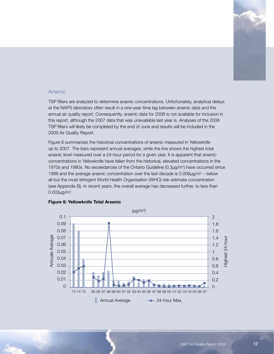

#### Arsenic

TSP filters are analyzed to determine arsenic concentrations. Unfortunately, analytical delays at the NAPS laboratory often result in a one-year time lag between arsenic data and the annual air quality report. Consequently, arsenic data for 2008 is not available for inclusion in this report, although the 2007 data that was unavailable last year is. Analyses of the 2008 TSP filters will likely be completed by the end of June and results will be included in the 2009 Air Quality Report.

Figure 6 summarizes the historical concentrations of arsenic measured in Yellowknife up to 2007. The bars represent annual averages, while the line shows the highest total arsenic level measured over a 24-hour period for a given year. It is apparent that arsenic concentrations in Yellowknife have fallen from the historical, elevated concentrations in the 1970s and 1980s. No exceedances of the Ontario Guideline (0.3μg/m<sup>3</sup>) have occurred since 1988 and the average arsenic concentration over the last decade is  $0.006\mu g/m^3$  – below all but the most stringent World Health Organisation (WHO) risk estimate concentration (see Appendix B). In recent years, the overall average has decreased further, to less than  $0.003$ μg/m $3.$ 



#### **Figure 6: Yellowknife Total Arsenic**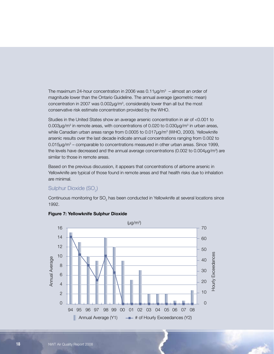The maximum 24-hour concentration in 2006 was  $0.11 \mu g/m<sup>3</sup>$  – almost an order of magnitude lower than the Ontario Guideline. The annual average (geometric mean) concentration in 2007 was 0.002μg/m<sup>3</sup>, considerably lower than all but the most conservative risk estimate concentration provided by the WHO.

Studies in the United States show an average arsenic concentration in air of <0.001 to 0.003μg/m<sup>3</sup> in remote areas, with concentrations of 0.020 to 0.030μg/m<sup>3</sup> in urban areas, while Canadian urban areas range from 0.0005 to 0.017μg/m<sup>3</sup> (WHO, 2000). Yellowknife arsenic results over the last decade indicate annual concentrations ranging from 0.002 to  $0.015 \mu g/m<sup>3</sup>$  – comparable to concentrations measured in other urban areas. Since 1999, the levels have decreased and the annual average concentrations (0.002 to 0.004 $\mu$ g/m<sup>3</sup>) are similar to those in remote areas.

Based on the previous discussion, it appears that concentrations of airborne arsenic in Yellowknife are typical of those found in remote areas and that health risks due to inhalation are minimal.

## Sulphur Dioxide (SO $_{2}$ )

Continuous monitoring for SO<sub>2</sub> has been conducted in Yellowknife at several locations since 1992.



#### **Figure 7: Yellowknife Sulphur Dioxide**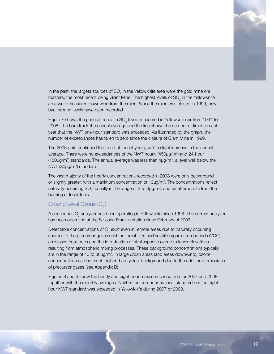

In the past, the largest sources of SO<sub>2</sub> in the Yellowknife area were the gold mine ore roasters, the most recent being Giant Mine. The highest levels of SO<sub>2</sub> in the Yellowknife area were measured downwind from the mine. Since the mine was closed in 1999, only background levels have been recorded.

Figure 7 shows the general trends in SO<sub>2</sub> levels measured in Yellowknife air from 1994 to 2008. The bars track the annual average and the line shows the number of times in each year that the NWT one-hour standard was exceeded. As illustrated by the graph, the number of exceedances has fallen to zero since the closure of Giant Mine in 1999.

The 2008 data continued the trend of recent years, with a slight increase in the annual average. There were no exceedances of the NWT hourly (450µg/m<sup>3</sup>) and 24-hour  $(150\mu g/m<sup>3</sup>)$  standards. The annual average was less than  $4\mu g/m<sup>3</sup>$ , a level well below the  $NWT$  (30µg/m<sup>3</sup>) standard.

The vast majority of the hourly concentrations recorded in 2008 were only background or slightly greater, with a maximum concentration of 13µg/m<sup>3</sup>. The concentrations reflect naturally occurring SO<sub>2</sub>, usually in the range of 3 to 4 $\mu$ g/m<sup>3</sup>, and small amounts from the burning of fossil fuels.

#### Ground Level Ozone (O<sub>2</sub>)

A continuous  $\mathsf{O}_{{}_3}$  analyzer has been operating in Yellowknife since 1998. The current analyzer has been operating at the Sir John Franklin station since February of 2003.

Detectable concentrations of  $\mathsf{O}_{{\scriptscriptstyle 3}}$  exist even in remote areas due to naturally occurring sources of the precursor gases such as forest fires and volatile organic compounds (VOC) emissions from trees and the introduction of stratospheric ozone to lower elevations resulting from atmospheric mixing processes. These background concentrations typically are in the range of 40 to 80µg/m<sup>3</sup>. In large urban areas (and areas downwind), ozone concentrations can be much higher than typical background due to the additional emissions of precursor gases (see Appendix B).

Figures 8 and 9 show the hourly and eight-hour maximums recorded for 2007 and 2008, together with the monthly averages. Neither the one-hour national standard nor the eighthour NWT standard was exceeded in Yellowknife during 2007 or 2008.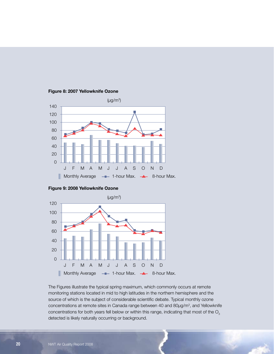







The Figures illustrate the typical spring maximum, which commonly occurs at remote monitoring stations located in mid to high latitudes in the northern hemisphere and the source of which is the subject of considerable scientific debate. Typical monthly ozone concentrations at remote sites in Canada range between 40 and 80 $\mu$ g/m<sup>3</sup>, and Yellowknife concentrations for both years fell below or within this range, indicating that most of the  $O<sub>3</sub>$ detected is likely naturally occurring or background.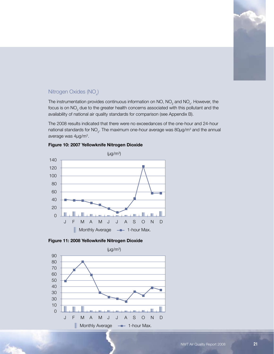

# Nitrogen Oxides (NO $_{\!\times}$ )

The instrumentation provides continuous information on NO, NO<sub>2</sub> and NO<sub>x</sub>. However, the focus is on NO<sub>2</sub> due to the greater health concerns associated with this pollutant and the availability of national air quality standards for comparison (see Appendix B).

The 2008 results indicated that there were no exceedances of the one-hour and 24-hour national standards for NO<sub>2</sub>. The maximum one-hour average was 80 $\mu$ g/m<sup>3</sup> and the annual average was 4μg/m<sup>3</sup>.



**Figure 10: 2007 Yellowknife Nitrogen Dioxide**

**Figure 11: 2008 Yellowknife Nitrogen Dioxide**

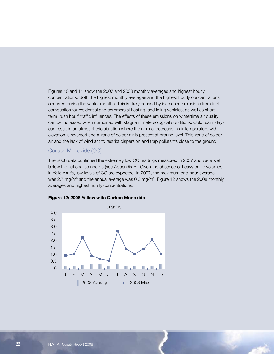Figures 10 and 11 show the 2007 and 2008 monthly averages and highest hourly concentrations. Both the highest monthly averages and the highest hourly concentrations occurred during the winter months. This is likely caused by increased emissions from fuel combustion for residential and commercial heating, and idling vehicles, as well as shortterm 'rush hour' traffic influences. The effects of these emissions on wintertime air quality can be increased when combined with stagnant meteorological conditions. Cold, calm days can result in an atmospheric situation where the normal decrease in air temperature with elevation is reversed and a zone of colder air is present at ground level. This zone of colder air and the lack of wind act to restrict dispersion and trap pollutants close to the ground.

#### Carbon Monoxide (CO)

The 2008 data continued the extremely low CO readings measured in 2007 and were well below the national standards (see Appendix B). Given the absence of heavy traffic volumes in Yellowknife, low levels of CO are expected. In 2007, the maximum one-hour average was 2.7 mg/m<sup>3</sup> and the annual average was 0.3 mg/m<sup>3</sup>. Figure 12 shows the 2008 monthly averages and highest hourly concentrations.



#### **Figure 12: 2008 Yellowknife Carbon Monoxide**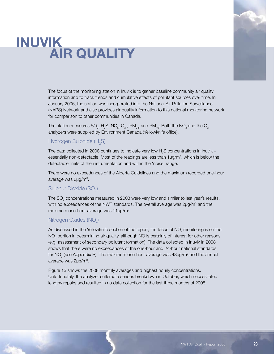# **Inuvik AIR QUALITY**



The focus of the monitoring station in Inuvik is to gather baseline community air quality information and to track trends and cumulative effects of pollutant sources over time. In January 2006, the station was incorporated into the National Air Pollution Surveillance (NAPS) Network and also provides air quality information to this national monitoring network for comparison to other communities in Canada.

The station measures SO<sub>2</sub>, H<sub>2</sub>S, NO<sub>x</sub>, O<sub>3</sub> , PM<sub>2.5</sub> and PM<sub>10</sub>. Both the NO<sub>x</sub> and the O<sub>3</sub> analyzers were supplied by Environment Canada (Yellowknife office).

## Hydrogen Sulphide (H<sub>2</sub>S)

The data collected in 2008 continues to indicate very low  $\mathsf{H}_2\mathsf{S}$  concentrations in Inuvik – essentially non-detectable. Most of the readings are less than  $1\mu g/m<sup>3</sup>$ , which is below the detectable limits of the instrumentation and within the 'noise' range.

There were no exceedances of the Alberta Guidelines and the maximum recorded one-hour average was 6μg/m<sup>3</sup>.

# Sulphur Dioxide (SO $_{2}$ )

The SO<sub>2</sub> concentrations measured in 2008 were very low and similar to last year's results, with no exceedances of the NWT standards. The overall average was 2 $\mu$ g/m<sup>3</sup> and the maximum one-hour average was  $11\mu g/m^3$ .

# Nitrogen Oxides (NO<sub>x</sub>)

As discussed in the Yellowknife section of the report, the focus of  $\mathsf{NO}_{\mathsf{x}}$  monitoring is on the  $\mathsf{NO}_2$  portion in determining air quality, although  $\mathsf{NO}$  is certainly of interest for other reasons (e.g. assessment of secondary pollutant formation). The data collected in Inuvik in 2008 shows that there were no exceedances of the one-hour and 24-hour national standards for NO<sub>2</sub> (see Appendix B). The maximum one-hour average was 48 $\mu$ g/m $^3$  and the annual average was 2µg/m<sup>3</sup>.

Figure 13 shows the 2008 monthly averages and highest hourly concentrations. Unfortunately, the analyzer suffered a serious breakdown in October, which necessitated lengthy repairs and resulted in no data collection for the last three months of 2008.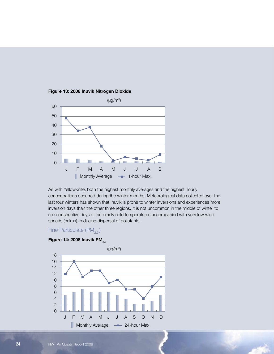

#### **Figure 13: 2008 Inuvik Nitrogen Dioxide**

As with Yellowknife, both the highest monthly averages and the highest hourly concentrations occurred during the winter months. Meteorological data collected over the last four winters has shown that Inuvik is prone to winter inversions and experiences more inversion days than the other three regions. It is not uncommon in the middle of winter to see consecutive days of extremely cold temperatures accompanied with very low wind speeds (calms), reducing dispersal of pollutants.

### Fine Particulate (PM<sub>2.5</sub>)

## **Figure 14: 2008 Inuvik PM**<sub>2.5</sub>

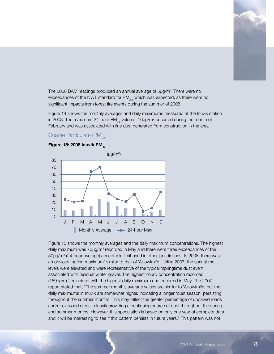

The 2008 BAM readings produced an annual average of 5µg/m<sup>3</sup>. There were no exceedances of the NWT standard for  $PM_{2.5}$  which was expected, as there were no significant impacts from forest fire events during the summer of 2008.

Figure 14 shows the monthly averages and daily maximums measured at the Inuvik station in 2008. The maximum 24-hour PM $_{2.5}$  value of 16µg/m<sup>3</sup> occurred during the month of February and was associated with fine dust generated from construction in the area.

### Coarse Particulate  $(PM_{10})$

#### **Figure 15: 2008 Inuvik PM**<sub>10</sub>



Figure 15 shows the monthly averages and the daily maximum concentrations. The highest daily maximum was  $70 \mu g/m^3$  recorded in May and there were three exceedances of the 50µg/m<sup>3</sup> (24-hour average) acceptable limit used in other jurisdictions. In 2008, there was an obvious 'spring maximum' similar to that of Yellowknife. Unlike 2007, the springtime levels were elevated and were representative of the typical 'springtime dust event' associated with residual winter gravel. The highest hourly concentration recorded (189μg/m<sup>3</sup> ) coincided with the highest daily maximum and occurred in May. The 2007 report stated that, "The summer monthly average values are similar to Yellowknife, but the daily maximums in Inuvik are somewhat higher, indicating a longer 'dust season' persisting throughout the summer months. This may reflect the greater percentage of unpaved roads and/or exposed areas in Inuvik providing a continuing source of dust throughout the spring and summer months. However, this speculation is based on only one year of complete data and it will be interesting to see if this pattern persists in future years." This pattern was not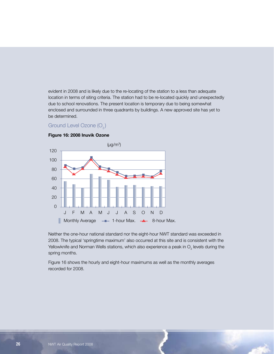evident in 2008 and is likely due to the re-locating of the station to a less than adequate location in terms of siting criteria. The station had to be re-located quickly and unexpectedly due to school renovations. The present location is temporary due to being somewhat enclosed and surrounded in three quadrants by buildings. A new approved site has yet to be determined.

### Ground Level Ozone  $(O_3)$



#### **Figure 16: 2008 Inuvik Ozone**

Neither the one-hour national standard nor the eight-hour NWT standard was exceeded in 2008. The typical 'springtime maximum' also occurred at this site and is consistent with the Yellowknife and Norman Wells stations, which also experience a peak in  $\mathsf{O}_{_{\!3}}$  levels during the spring months.

Figure 16 shows the hourly and eight-hour maximums as well as the monthly averages recorded for 2008.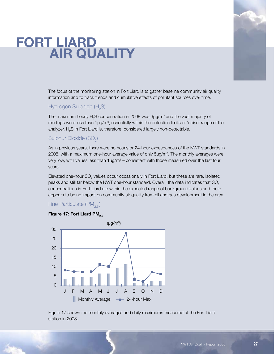# **fort liard AIR QUALITY**



The focus of the monitoring station in Fort Liard is to gather baseline community air quality information and to track trends and cumulative effects of pollutant sources over time.

# Hydrogen Sulphide (H<sub>2</sub>S)

The maximum hourly  $\mathsf{H}_2\mathsf{S}$  concentration in 2008 was 3 $\mu$ g/m $^3$  and the vast majority of readings were less than  $1\mu g/m^3$ , essentially within the detection limits or 'noise' range of the analyzer.  ${\sf H}_{\tiny 2}$ S in Fort Liard is, therefore, considered largely non-detectable.

# Sulphur Dioxide (SO $_{\textrm{\tiny{\it 2}}}$ )

As in previous years, there were no hourly or 24-hour exceedances of the NWT standards in 2008, with a maximum one-hour average value of only  $5\mu g/m^3$ . The monthly averages were very low, with values less than  $1\mu g/m^3$  – consistent with those measured over the last four years.

Elevated one-hour SO<sub>2</sub> values occur occasionally in Fort Liard, but these are rare, isolated peaks and still far below the NWT one-hour standard. Overall, the data indicates that  $SO<sub>2</sub>$ concentrations in Fort Liard are within the expected range of background values and there appears to be no impact on community air quality from oil and gas development in the area.

### Fine Particulate  $(PM_{2.5})$

#### **Figure 17: Fort Liard PM<sub>25</sub>**



Figure 17 shows the monthly averages and daily maximums measured at the Fort Liard station in 2008.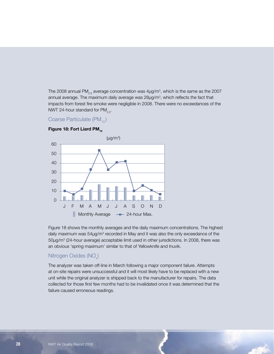The 2008 annual PM $_{2.5}$  average concentration was 4 $\mu$ g/m<sup>3</sup>, which is the same as the 2007 annual average. The maximum daily average was  $28\mu g/m<sup>3</sup>$ , which reflects the fact that impacts from forest fire smoke were negligible in 2008. There were no exceedances of the NWT 24-hour standard for  $PM_{2.5}$ .

Coarse Particulate (PM<sub>10</sub>)



**Figure 18: Fort Liard PM**<sub>10</sub>

Figure 18 shows the monthly averages and the daily maximum concentrations. The highest daily maximum was  $54\mu g/m<sup>3</sup>$  recorded in May and it was also the only exceedance of the 50µg/m<sup>3</sup> (24-hour average) acceptable limit used in other jurisdictions. In 2008, there was an obvious 'spring maximum' similar to that of Yellowknife and Inuvik.

## Nitrogen Oxides (NO $_{\!\times}$ )

The analyzer was taken off-line in March following a major component failure. Attempts at on-site repairs were unsuccessful and it will most likely have to be replaced with a new unit while the original analyzer is shipped back to the manufacturer for repairs. The data collected for those first few months had to be invalidated once it was determined that the failure caused erroneous readings.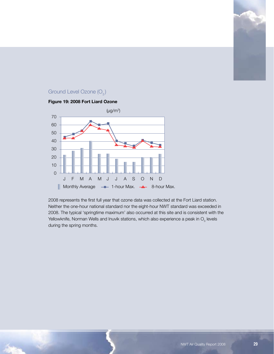

# Ground Level Ozone  $(O_3)$

#### **Figure 19: 2008 Fort Liard Ozone**



2008 represents the first full year that ozone data was collected at the Fort Liard station. Neither the one-hour national standard nor the eight-hour NWT standard was exceeded in 2008. The typical 'springtime maximum' also occurred at this site and is consistent with the Yellowknife, Norman Wells and Inuvik stations, which also experience a peak in  $\mathrm{O}_{_{\mathrm{3}}}$  levels during the spring months.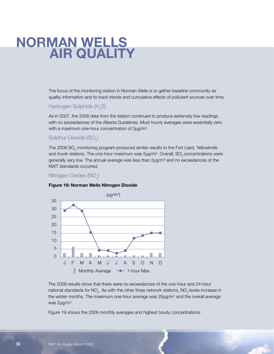# **Norman Wells Air Quality**

The focus of the monitoring station in Norman Wells is to gather baseline community air quality information and to track trends and cumulative effects of pollutant sources over time.

## Hydrogen Sulphide (H<sub>2</sub>S)

As in 2007, the 2008 data from the station continued to produce extremely low readings, with no exceedances of the Alberta Guidelines. Most hourly averages were essentially zero with a maximum one-hour concentration of  $3\mu$ g/m<sup>3</sup>.

# Sulphur Dioxide (SO $_{\textrm{\tiny{\it 2}}}$ )

The 2008 SO $_{\tiny 2}$  monitoring program produced similar results to the Fort Liard, Yellowknife and Inuvik stations. The one-hour maximum was  $5\mu$ g/m $^3$ . Overall, SO<sub>2</sub> concentrations were generally very low. The annual average was less than  $2\mu g/m^3$  and no exceedances of the NWT standards occurred.

## Nitrogen Oxides (NO $_{\!\scriptscriptstyle \times}^{\phantom{\dagger}}$

#### **Figure 19: Norman Wells Nitrogen Dioxide**



The 2008 results show that there were no exceedances of the one-hour and 24-hour national standards for NO<sub>2</sub>. As with the other three network stations, NO<sub>2</sub> levels increase in the winter months. The maximum one-hour average was  $29\mu g/m<sup>3</sup>$  and the overall average was 2µg/m<sup>3</sup>.

Figure 19 shows the 2008 monthly averages and highest hourly concentrations.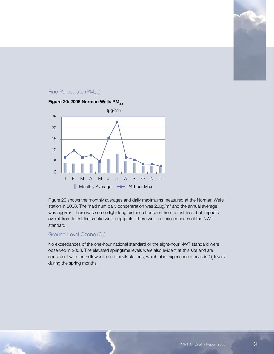## Fine Particulate (PM<sub>2.5</sub>)



Figure 20 shows the monthly averages and daily maximums measured at the Norman Wells station in 2008. The maximum daily concentration was  $23\mu$ g/m<sup>3</sup> and the annual average was  $5\mu g/m^3$ . There was some slight long distance transport from forest fires, but impacts overall from forest fire smoke were negligible. There were no exceedances of the NWT standard.

## Ground Level Ozone  $(\mathsf{O}_3)$

No exceedances of the one-hour national standard or the eight-hour NWT standard were observed in 2008. The elevated springtime levels were also evident at this site and are consistent with the Yellowknife and Inuvik stations, which also experience a peak in  $O<sub>3</sub>$  levels during the spring months.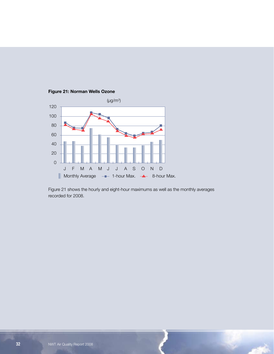

**Figure 21: Norman Wells Ozone**

Figure 21 shows the hourly and eight-hour maximums as well as the monthly averages recorded for 2008.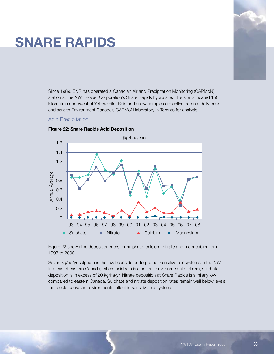# **Snare Rapids**

Since 1989, ENR has operated a Canadian Air and Precipitation Monitoring (CAPMoN) station at the NWT Power Corporation's Snare Rapids hydro site. This site is located 150 kilometres northwest of Yellowknife. Rain and snow samples are collected on a daily basis and sent to Environment Canada's CAPMoN laboratory in Toronto for analysis.

#### Acid Precipitation



#### **Figure 22: Snare Rapids Acid Deposition**

Figure 22 shows the deposition rates for sulphate, calcium, nitrate and magnesium from 1993 to 2008.

Seven kg/ha/yr sulphate is the level considered to protect sensitive ecosystems in the NWT. In areas of eastern Canada, where acid rain is a serious environmental problem, sulphate deposition is in excess of 20 kg/ha/yr. Nitrate deposition at Snare Rapids is similarly low compared to eastern Canada. Sulphate and nitrate deposition rates remain well below levels that could cause an environmental effect in sensitive ecosystems.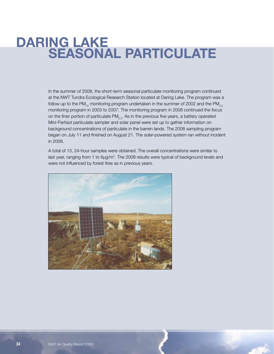# **DARING LAKE<br>SEASONAL PARTICULATE**

In the summer of 2008, the short-term seasonal particulate monitoring program continued at the NWT Tundra Ecological Research Station located at Daring Lake. The program was a follow up to the PM<sub>10</sub> monitoring program undertaken in the summer of 2002 and the PM<sub>2.5</sub> monitoring program in 2003 to 2007. The monitoring program in 2008 continued the focus on the finer portion of particulate  $PM_{2.5}$ . As in the previous five years, a battery operated Mini-Partisol particulate sampler and solar panel were set up to gather information on background concentrations of particulate in the barren lands. The 2008 sampling program began on July 11 and finished on August 21. The solar-powered system ran without incident in 2008.

A total of 13, 24-hour samples were obtained. The overall concentrations were similar to last year, ranging from 1 to 6 $\mu$ g/m<sup>3</sup>. The 2008 results were typical of background levels and were not influenced by forest fires as in previous years.

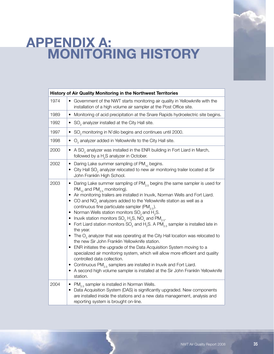# **Appendix A: MONITORING HISTORY**

|      | History of Air Quality Monitoring in the Northwest Territories                                                                                                                                                                                                                                                                                                                                                                                                                                                                                                                                                                                                                                                                                                                                                                                                                                                                                                                                                                                                                                                                                                                    |
|------|-----------------------------------------------------------------------------------------------------------------------------------------------------------------------------------------------------------------------------------------------------------------------------------------------------------------------------------------------------------------------------------------------------------------------------------------------------------------------------------------------------------------------------------------------------------------------------------------------------------------------------------------------------------------------------------------------------------------------------------------------------------------------------------------------------------------------------------------------------------------------------------------------------------------------------------------------------------------------------------------------------------------------------------------------------------------------------------------------------------------------------------------------------------------------------------|
| 1974 | Government of the NWT starts monitoring air quality in Yellowknife with the<br>$\bullet$<br>installation of a high volume air sampler at the Post Office site.                                                                                                                                                                                                                                                                                                                                                                                                                                                                                                                                                                                                                                                                                                                                                                                                                                                                                                                                                                                                                    |
| 1989 | Monitoring of acid precipitation at the Snare Rapids hydroelectric site begins.<br>٠                                                                                                                                                                                                                                                                                                                                                                                                                                                                                                                                                                                                                                                                                                                                                                                                                                                                                                                                                                                                                                                                                              |
| 1992 | $SO2$ analyzer installed at the City Hall site.<br>$\bullet$                                                                                                                                                                                                                                                                                                                                                                                                                                                                                                                                                                                                                                                                                                                                                                                                                                                                                                                                                                                                                                                                                                                      |
| 1997 | SO <sub>2</sub> monitoring in N'dilo begins and continues until 2000.<br>$\bullet$                                                                                                                                                                                                                                                                                                                                                                                                                                                                                                                                                                                                                                                                                                                                                                                                                                                                                                                                                                                                                                                                                                |
| 1998 | $O3$ analyzer added in Yellowknife to the City Hall site.<br>٠                                                                                                                                                                                                                                                                                                                                                                                                                                                                                                                                                                                                                                                                                                                                                                                                                                                                                                                                                                                                                                                                                                                    |
| 2000 | A $SO2$ analyzer was installed in the ENR building in Fort Liard in March,<br>$\bullet$<br>followed by a H <sub>2</sub> S analyzer in October.                                                                                                                                                                                                                                                                                                                                                                                                                                                                                                                                                                                                                                                                                                                                                                                                                                                                                                                                                                                                                                    |
| 2002 | Daring Lake summer sampling of PM <sub>10</sub> begins.<br>٠<br>• City Hall SO <sub>2</sub> analyzer relocated to new air monitoring trailer located at Sir<br>John Franklin High School.                                                                                                                                                                                                                                                                                                                                                                                                                                                                                                                                                                                                                                                                                                                                                                                                                                                                                                                                                                                         |
| 2003 | • Daring Lake summer sampling of PM <sub>2.5</sub> begins (the same sampler is used for<br>$PM_{10}$ and $PM_{2.5}$ monitoring).<br>Air monitoring trailers are installed in Inuvik, Norman Wells and Fort Liard.<br>CO and $NOx$ analyzers added to the Yellowknife station as well as a<br>continuous fine particulate sampler (PM <sub>25</sub> ).<br>Norman Wells station monitors $SO2$ and H <sub>2</sub> S.<br>$\bullet$<br>Inuvik station monitors $SO_2H_2S$ , NO <sub>x</sub> and PM <sub>2.5</sub> .<br>٠<br>• Fort Liard station monitors SO <sub>2</sub> and H <sub>2</sub> S. A PM <sub>2.5</sub> sampler is installed late in<br>the year.<br>The $O3$ analyzer that was operating at the City Hall location was relocated to<br>٠<br>the new Sir John Franklin Yellowknife station.<br>ENR initiates the upgrade of the Data Acquisition System moving to a<br>specialized air monitoring system, which will allow more efficient and quality<br>controlled data collection.<br>Continuous $PM_{2.5}$ samplers are installed in Inuvik and Fort Liard.<br>$\bullet$<br>A second high volume sampler is installed at the Sir John Franklin Yellowknife<br>station. |
| 2004 | • $PM_{2.5}$ sampler is installed in Norman Wells.<br>Data Acquisition System (DAS) is significantly upgraded. New components<br>$\bullet$<br>are installed inside the stations and a new data management, analysis and<br>reporting system is brought on-line.                                                                                                                                                                                                                                                                                                                                                                                                                                                                                                                                                                                                                                                                                                                                                                                                                                                                                                                   |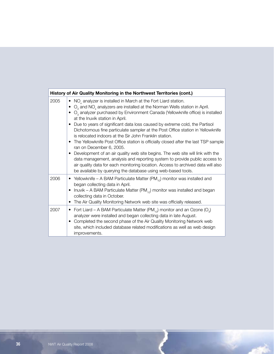|      | History of Air Quality Monitoring in the Northwest Territories (cont.)                                                                                                                                                                                                                                                                                                                                                                                                                                                                                                                                                                                                                                                                                                                                                                                                                                                                                                                    |
|------|-------------------------------------------------------------------------------------------------------------------------------------------------------------------------------------------------------------------------------------------------------------------------------------------------------------------------------------------------------------------------------------------------------------------------------------------------------------------------------------------------------------------------------------------------------------------------------------------------------------------------------------------------------------------------------------------------------------------------------------------------------------------------------------------------------------------------------------------------------------------------------------------------------------------------------------------------------------------------------------------|
| 2005 | • NO <sub>x</sub> analyzer is installed in March at the Fort Liard station.<br>$O3$ and NO <sub>z</sub> analyzers are installed at the Norman Wells station in April.<br>$\bullet$ O <sub>3</sub> analyzer purchased by Environment Canada (Yellowknife office) is installed<br>at the Inuvik station in April.<br>Due to years of significant data loss caused by extreme cold, the Partisol<br>Dichotomous fine particulate sampler at the Post Office station in Yellowknife<br>is relocated indoors at the Sir John Franklin station.<br>The Yellowknife Post Office station is officially closed after the last TSP sample<br>٠<br>ran on December 6, 2005.<br>Development of an air quality web site begins. The web site will link with the<br>٠<br>data management, analysis and reporting system to provide public access to<br>air quality data for each monitoring location. Access to archived data will also<br>be available by querying the database using web-based tools. |
| 2006 | • Yellowknife – A BAM Particulate Matter (PM <sub>10</sub> ) monitor was installed and<br>began collecting data in April.<br>Inuvik – A BAM Particulate Matter (PM $_{10}$ ) monitor was installed and began<br>collecting data in October.<br>The Air Quality Monitoring Network web site was officially released.                                                                                                                                                                                                                                                                                                                                                                                                                                                                                                                                                                                                                                                                       |
| 2007 | Fort Liard – A BAM Particulate Matter (PM <sub>10</sub> ) monitor and an Ozone (O <sub>3</sub> )<br>$\bullet$<br>analyzer were installed and began collecting data in late August.<br>Completed the second phase of the Air Quality Monitoring Network web<br>site, which included database related modifications as well as web design<br>improvements.                                                                                                                                                                                                                                                                                                                                                                                                                                                                                                                                                                                                                                  |

 $\mathcal{L}^{(1)}$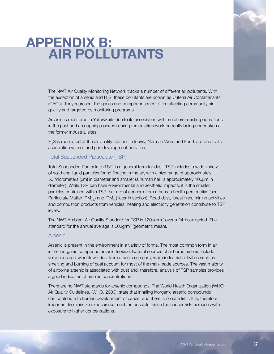# **Appendix B: Air Pollutants**



The NWT Air Quality Monitoring Network tracks a number of different air pollutants. With the exception of arsenic and  ${\sf H}_{\!{}_2}$ S, these pollutants are known as Criteria Air Contaminants (CACs). They represent the gases and compounds most often affecting community air quality and targeted by monitoring programs.

Arsenic is monitored in Yellowknife due to its association with metal ore roasting operations in the past and an ongoing concern during remediation work currently being undertaken at the former industrial sites.

 $H_2$ S is monitored at the air quality stations in Inuvik, Norman Wells and Fort Liard due to its association with oil and gas development activities.

#### Total Suspended Particulate (TSP)

Total Suspended Particulate (TSP) is a general term for dust. TSP includes a wide variety of solid and liquid particles found floating in the air, with a size range of approximately 50 micrometers (µm) in diameter and smaller (a human hair is approximately 100µm in diameter). While TSP can have environmental and aesthetic impacts, it is the smaller particles contained within TSP that are of concern from a human health perspective (see Particulate Matter (PM<sub>2.5</sub>) and (PM<sub>10</sub>) later in section). Road dust, forest fires, mining activities and combustion products from vehicles, heating and electricity generation contribute to TSP levels.

The NWT Ambient Air Quality Standard for TSP is  $120 \mu g/m<sup>3</sup>$ ) over a 24-hour period. The standard for the annual average is  $60 \mu g/m<sup>3</sup>$  (geometric mean).

#### Arsenic

Arsenic is present in the environment in a variety of forms. The most common form in air is the inorganic compound arsenic trioxide. Natural sources of airborne arsenic include volcanoes and windblown dust from arsenic rich soils, while industrial activities such as smelting and burning of coal account for most of the man-made sources. The vast majority of airborne arsenic is associated with dust and, therefore, analysis of TSP samples provides a good indication of arsenic concentrations.

There are no NWT standards for arsenic compounds. The World Health Organization (WHO) Air Quality Guidelines, (WHO, 2000), state that inhaling inorganic arsenic compounds can contribute to human development of cancer and there is no safe limit. It is, therefore, important to minimize exposure as much as possible, since the cancer risk increases with exposure to higher concentrations.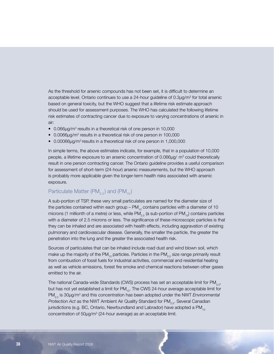As the threshold for arsenic compounds has not been set, it is difficult to determine an acceptable level. Ontario continues to use a 24-hour guideline of 0.3 $\mu$ g/m<sup>3</sup> for total arsenic based on general toxicity, but the WHO suggest that a lifetime risk estimate approach should be used for assessment purposes. The WHO has calculated the following lifetime risk estimates of contracting cancer due to exposure to varying concentrations of arsenic in air:

- 0.066µg/m<sup>3</sup> results in a theoretical risk of one person in 10,000
- $\bullet$  0.0066 $\mu$ g/m<sup>3</sup> results in a theoretical risk of one person in 100,000
- 0.00066μg/m<sup>3</sup> results in a theoretical risk of one person in 1,000,000

In simple terms, the above estimates indicate, for example, that in a population of 10,000 people, a lifetime exposure to an arsenic concentration of 0.066 $\mu$ g/m<sup>3</sup> could theoretically result in one person contracting cancer. The Ontario guideline provides a useful comparison for assessment of short-term (24-hour) arsenic measurements, but the WHO approach is probably more applicable given the longer-term health risks associated with arsenic exposure.

#### Particulate Matter (PM<sub>2.5</sub>) and (PM<sub>10</sub>)

A sub-portion of TSP, these very small particulates are named for the diameter size of the particles contained within each group –  $PM_{10}$  contains particles with a diameter of 10 microns (1 millionth of a metre) or less, while PM<sub>2.5</sub> (a sub-portion of PM<sub>10</sub>) contains particles with a diameter of 2.5 microns or less. The significance of these microscopic particles is that they can be inhaled and are associated with health effects, including aggravation of existing pulmonary and cardiovascular disease. Generally, the smaller the particle, the greater the penetration into the lung and the greater the associated health risk.

Sources of particulates that can be inhaled include road dust and wind blown soil, which make up the majority of the PM<sub>10</sub> particles. Particles in the PM<sub>25</sub> size range primarily result from combustion of fossil fuels for industrial activities, commercial and residential heating as well as vehicle emissions, forest fire smoke and chemical reactions between other gases emitted to the air.

The national Canada-wide Standards (CWS) process has set an acceptable limit for  $PM_{2,5}$ , but has not yet established a limit for  $PM_{10}$ . The CWS 24-hour average acceptable limit for PM<sub>2.5</sub> is 30µg/m<sup>3</sup> and this concentration has been adopted under the NWT *Environmental Protection Act* as the NWT Ambient Air Quality Standard for PM<sub>2.5</sub>. Several Canadian jurisdictions (e.g. BC, Ontario, Newfoundland and Labrador) have adopted a  $PM_{10}$ concentration of 50µg/m<sup>3</sup> (24-hour average) as an acceptable limit.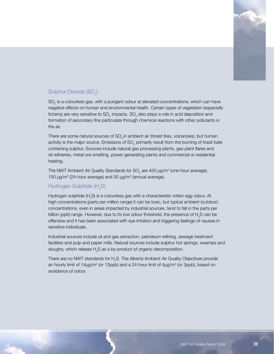

# Sulphur Dioxide (SO $_{2}$ )

 $\mathsf{SO}_2$  is a colourless gas, with a pungent odour at elevated concentrations, which can have negative effects on human and environmental health. Certain types of vegetation (especially lichens) are very sensitive to SO<sub>2</sub> impacts. SO<sub>2</sub> also plays a role in acid deposition and formation of secondary fine particulate through chemical reactions with other pollutants in the air.

There are some natural sources of  $SO<sub>2</sub>$  in ambient air (forest fires, volcanoes), but human activity is the major source. Emissions of SO<sub>2</sub> primarily result from the burning of fossil fuels containing sulphur. Sources include natural gas processing plants, gas plant flares and oil refineries, metal ore smelting, power generating plants and commercial or residential heating.

The NWT Ambient Air Quality Standards for SO<sub>2</sub> are 450  $\mu$ g/m<sup>3</sup> (one-hour average), 150  $\mu$ g/m<sup>3</sup> (24-hour average) and 30  $\mu$ g/m<sup>3</sup> (annual average).

# Hydrogen Sulphide (H<sub>2</sub>S)

Hydrogen sulphide (H<sub>2</sub>S) is a colourless gas with a characteristic rotten egg odour. At high concentrations (parts per million range) it can be toxic, but typical ambient (outdoor) concentrations, even in areas impacted by industrial sources, tend to fall in the parts per billion (ppb) range. However, due to its low odour threshold, the presence of  ${\sf H_2S}$  can be offensive and it has been associated with eye irritation and triggering feelings of nausea in sensitive individuals.

Industrial sources include oil and gas extraction, petroleum refining, sewage treatment facilities and pulp and paper mills. Natural sources include sulphur hot springs, swamps and sloughs, which release  $\mathsf{H}_{\scriptscriptstyle{2}}\mathsf{S}$  as a by-product of organic decomposition.

There are no NWT standards for  ${\sf H}_{\tiny 2}$ S. The Alberta Ambient Air Quality Objectives provide an hourly limit of 14 $\mu$ g/m<sup>3</sup> (or 10ppb) and a 24-hour limit of 4 $\mu$ g/m<sup>3</sup> (or 3ppb), based on avoidance of odour.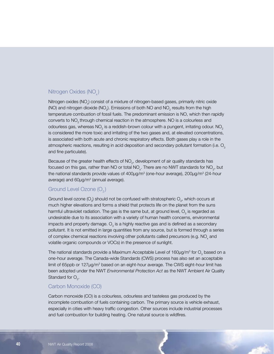### Nitrogen Oxides (NO<sub>x</sub>)

Nitrogen oxides (NO<sub>x</sub>) consist of a mixture of nitrogen-based gases, primarily nitric oxide (NO) and nitrogen dioxide (NO<sub>2</sub>). Emissions of both NO and NO<sub>2</sub> results from the high temperature combustion of fossil fuels. The predominant emission is NO, which then rapidly converts to NO<sub>2</sub> through chemical reaction in the atmosphere. NO is a colourless and odourless gas, whereas NO $_{\scriptscriptstyle 2}$  is a reddish-brown colour with a pungent, irritating odour. NO $_{\scriptscriptstyle 2}$ is considered the more toxic and irritating of the two gases and, at elevated concentrations, is associated with both acute and chronic respiratory effects. Both gases play a role in the atmospheric reactions, resulting in acid deposition and secondary pollutant formation (i.e.  $O_{\alpha}$ ) and fine particulate).

Because of the greater health effects of  $NO<sub>2</sub>$ , development of air quality standards has focused on this gas, rather than NO or total NO<sub>x</sub>. There are no NWT standards for NO<sub>2</sub>, but the national standards provide values of 400μg/m $^3$  (one-hour average), 200μg/m $^3$  (24-hour average) and 60μg/m<sup>3</sup> (annual average).

#### Ground Level Ozone  $(O_2)$

Ground level ozone (O<sub>3</sub>) should not be confused with stratospheric O<sub>3</sub>, which occurs at much higher elevations and forms a shield that protects life on the planet from the suns harmful ultraviolet radiation. The gas is the same but, at ground level,  $\mathrm{O}_3^{}$  is regarded as undesirable due to its association with a variety of human health concerns, environmental impacts and property damage.  $\mathrm{O}_{_{3}}$  is a highly reactive gas and is defined as a secondary pollutant. It is not emitted in large quantities from any source, but is formed through a series of complex chemical reactions involving other pollutants called precursors (e.g.  $NO_{\mathsf{x}}$  and volatile organic compounds or VOCs) in the presence of sunlight.

The national standards provide a Maximum Acceptable Level of 160 $\mu$ g/m $^3$  for  $\mathrm{O}_{_3}$  based on a one-hour average. The Canada-wide Standards (CWS) process has also set an acceptable limit of 65ppb or 127µg/m<sup>3</sup> based on an eight-hour average. The CWS eight-hour limit has been adopted under the NWT *Environmental Protection Act* as the NWT Ambient Air Quality Standard for  $\mathsf{O}_{3}$ .

#### Carbon Monoxide (CO)

Carbon monoxide (CO) is a colourless, odourless and tasteless gas produced by the incomplete combustion of fuels containing carbon. The primary source is vehicle exhaust, especially in cities with heavy traffic congestion. Other sources include industrial processes and fuel combustion for building heating. One natural source is wildfires.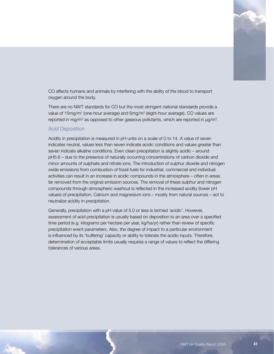

CO affects humans and animals by interfering with the ability of the blood to transport oxygen around the body.

There are no NWT standards for CO but the most stringent national standards provide a value of 15mg/m $^3$  (one-hour average) and 6mg/m $^3$  (eight-hour average). CO values are reported in mg/m<sup>3</sup> as opposed to other gaseous pollutants, which are reported in  $\mu$ g/m<sup>3</sup>.

#### Acid Deposition

Acidity in precipitation is measured in pH units on a scale of 0 to 14. A value of seven indicates neutral, values less than seven indicate acidic conditions and values greater than seven indicate alkaline conditions. Even clean precipitation is slightly acidic – around pH5.6 – due to the presence of naturally occurring concentrations of carbon dioxide and minor amounts of sulphate and nitrate ions. The introduction of sulphur dioxide and nitrogen oxide emissions from combustion of fossil fuels for industrial, commercial and individual activities can result in an increase in acidic compounds in the atmosphere – often in areas far removed from the original emission sources. The removal of these sulphur and nitrogen compounds through atmospheric washout is reflected in the increased acidity (lower pH values) of precipitation. Calcium and magnesium ions – mostly from natural sources – act to neutralize acidity in precipitation.

Generally, precipitation with a pH value of 5.0 or less is termed 'acidic'. However, assessment of acid precipitation is usually based on deposition to an area over a specified time period (e.g. kilograms per hectare per year, kg/ha/yr) rather than review of specific precipitation event parameters. Also, the degree of impact to a particular environment is influenced by its 'buffering' capacity or ability to tolerate the acidic inputs. Therefore, determination of acceptable limits usually requires a range of values to reflect the differing tolerances of various areas.